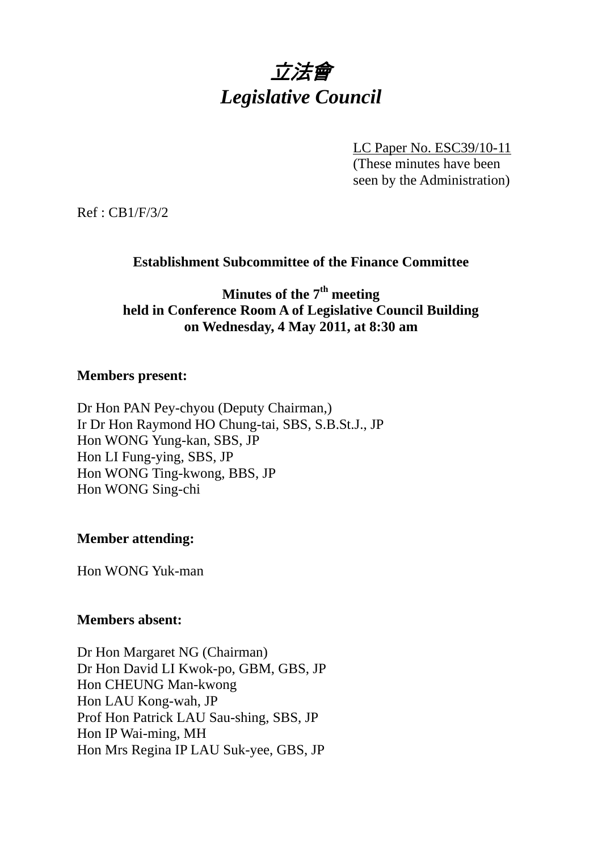

LC Paper No. ESC39/10-11 (These minutes have been seen by the Administration)

Ref : CB1/F/3/2

# **Establishment Subcommittee of the Finance Committee**

**Minutes of the 7th meeting held in Conference Room A of Legislative Council Building on Wednesday, 4 May 2011, at 8:30 am** 

## **Members present:**

Dr Hon PAN Pey-chyou (Deputy Chairman,) Ir Dr Hon Raymond HO Chung-tai, SBS, S.B.St.J., JP Hon WONG Yung-kan, SBS, JP Hon LI Fung-ying, SBS, JP Hon WONG Ting-kwong, BBS, JP Hon WONG Sing-chi

### **Member attending:**

Hon WONG Yuk-man

# **Members absent:**

Dr Hon Margaret NG (Chairman) Dr Hon David LI Kwok-po, GBM, GBS, JP Hon CHEUNG Man-kwong Hon LAU Kong-wah, JP Prof Hon Patrick LAU Sau-shing, SBS, JP Hon IP Wai-ming, MH Hon Mrs Regina IP LAU Suk-yee, GBS, JP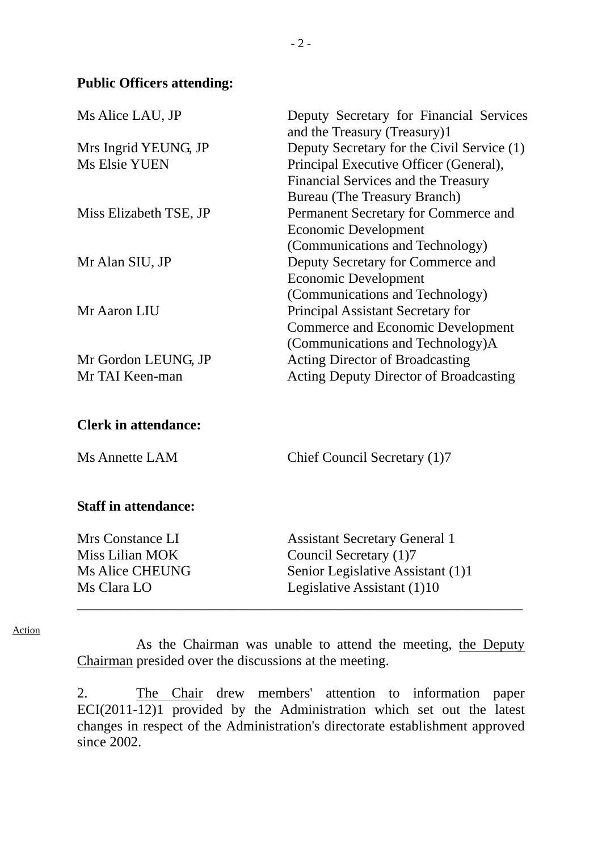### **Public Officers attending:**

| Ms Alice LAU, JP            | Deputy Secretary for Financial Services<br>and the Treasury (Treasury)1 |
|-----------------------------|-------------------------------------------------------------------------|
| Mrs Ingrid YEUNG, JP        | Deputy Secretary for the Civil Service (1)                              |
| <b>Ms Elsie YUEN</b>        | Principal Executive Officer (General),                                  |
|                             | Financial Services and the Treasury                                     |
|                             | <b>Bureau</b> (The Treasury Branch)                                     |
| Miss Elizabeth TSE, JP      | Permanent Secretary for Commerce and                                    |
|                             | <b>Economic Development</b>                                             |
|                             | (Communications and Technology)                                         |
| Mr Alan SIU, JP             | Deputy Secretary for Commerce and                                       |
|                             | <b>Economic Development</b>                                             |
|                             | (Communications and Technology)                                         |
| Mr Aaron LIU                | <b>Principal Assistant Secretary for</b>                                |
|                             | <b>Commerce and Economic Development</b>                                |
|                             | (Communications and Technology)A                                        |
| Mr Gordon LEUNG, JP         | <b>Acting Director of Broadcasting</b>                                  |
| Mr TAI Keen-man             | <b>Acting Deputy Director of Broadcasting</b>                           |
| <b>Clerk in attendance:</b> |                                                                         |
| <b>Ms Annette LAM</b>       | Chief Council Secretary (1)7                                            |
| <b>Staff in attendance:</b> |                                                                         |
| Mrs Constance LI            | <b>Assistant Secretary General 1</b>                                    |
| <b>Miss Lilian MOK</b>      | Council Secretary (1)7                                                  |
| <b>Ms Alice CHEUNG</b>      | Senior Legislative Assistant (1)1                                       |
| Ms Clara LO                 | Legislative Assistant (1)10                                             |

#### Action

As the Chairman was unable to attend the meeting, the Deputy Chairman presided over the discussions at the meeting.

2. The Chair drew members' attention to information paper ECI(2011-12)1 provided by the Administration which set out the latest changes in respect of the Administration's directorate establishment approved since 2002.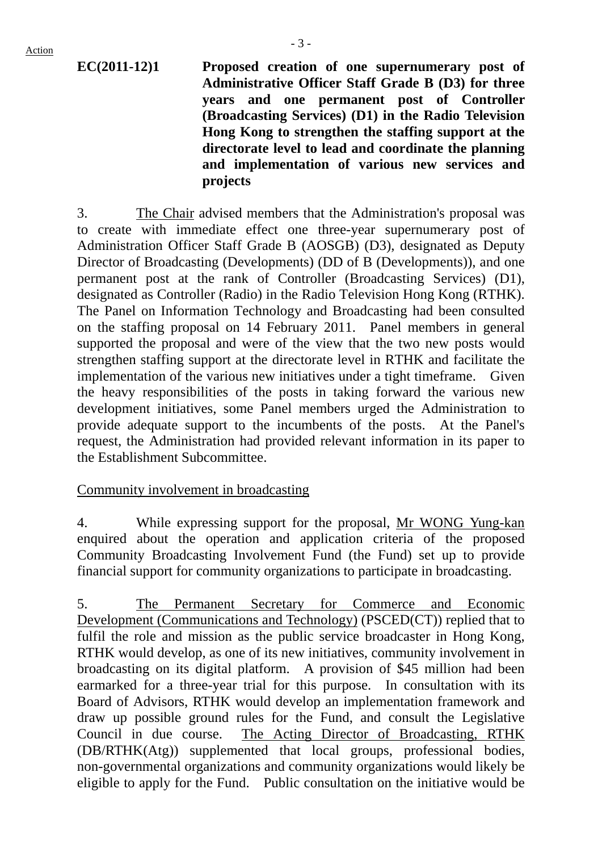**EC(2011-12)1 Proposed creation of one supernumerary post of Administrative Officer Staff Grade B (D3) for three years and one permanent post of Controller (Broadcasting Services) (D1) in the Radio Television Hong Kong to strengthen the staffing support at the directorate level to lead and coordinate the planning and implementation of various new services and projects**

3. The Chair advised members that the Administration's proposal was to create with immediate effect one three-year supernumerary post of Administration Officer Staff Grade B (AOSGB) (D3), designated as Deputy Director of Broadcasting (Developments) (DD of B (Developments)), and one permanent post at the rank of Controller (Broadcasting Services) (D1), designated as Controller (Radio) in the Radio Television Hong Kong (RTHK). The Panel on Information Technology and Broadcasting had been consulted on the staffing proposal on 14 February 2011. Panel members in general supported the proposal and were of the view that the two new posts would strengthen staffing support at the directorate level in RTHK and facilitate the implementation of the various new initiatives under a tight timeframe. Given the heavy responsibilities of the posts in taking forward the various new development initiatives, some Panel members urged the Administration to provide adequate support to the incumbents of the posts. At the Panel's request, the Administration had provided relevant information in its paper to the Establishment Subcommittee.

### Community involvement in broadcasting

4. While expressing support for the proposal, Mr WONG Yung-kan enquired about the operation and application criteria of the proposed Community Broadcasting Involvement Fund (the Fund) set up to provide financial support for community organizations to participate in broadcasting.

5. The Permanent Secretary for Commerce and Economic Development (Communications and Technology) (PSCED(CT)) replied that to fulfil the role and mission as the public service broadcaster in Hong Kong, RTHK would develop, as one of its new initiatives, community involvement in broadcasting on its digital platform. A provision of \$45 million had been earmarked for a three-year trial for this purpose. In consultation with its Board of Advisors, RTHK would develop an implementation framework and draw up possible ground rules for the Fund, and consult the Legislative Council in due course. The Acting Director of Broadcasting, RTHK (DB/RTHK(Atg)) supplemented that local groups, professional bodies, non-governmental organizations and community organizations would likely be eligible to apply for the Fund. Public consultation on the initiative would be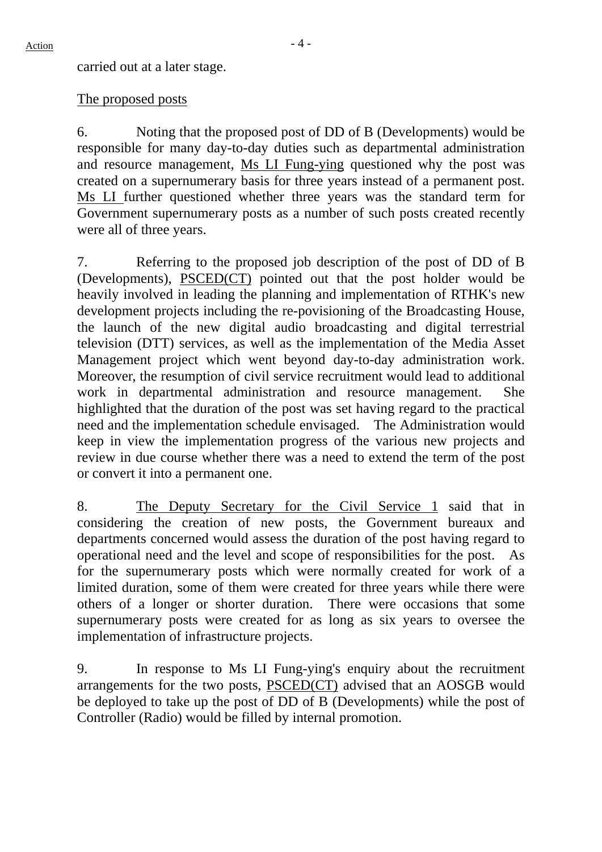carried out at a later stage.

## The proposed posts

6. Noting that the proposed post of DD of B (Developments) would be responsible for many day-to-day duties such as departmental administration and resource management, Ms LI Fung-ying questioned why the post was created on a supernumerary basis for three years instead of a permanent post. Ms LI further questioned whether three years was the standard term for Government supernumerary posts as a number of such posts created recently were all of three years.

7. Referring to the proposed job description of the post of DD of B (Developments), PSCED(CT) pointed out that the post holder would be heavily involved in leading the planning and implementation of RTHK's new development projects including the re-povisioning of the Broadcasting House, the launch of the new digital audio broadcasting and digital terrestrial television (DTT) services, as well as the implementation of the Media Asset Management project which went beyond day-to-day administration work. Moreover, the resumption of civil service recruitment would lead to additional work in departmental administration and resource management. She highlighted that the duration of the post was set having regard to the practical need and the implementation schedule envisaged. The Administration would keep in view the implementation progress of the various new projects and review in due course whether there was a need to extend the term of the post or convert it into a permanent one.

8. The Deputy Secretary for the Civil Service 1 said that in considering the creation of new posts, the Government bureaux and departments concerned would assess the duration of the post having regard to operational need and the level and scope of responsibilities for the post. As for the supernumerary posts which were normally created for work of a limited duration, some of them were created for three years while there were others of a longer or shorter duration. There were occasions that some supernumerary posts were created for as long as six years to oversee the implementation of infrastructure projects.

9. In response to Ms LI Fung-ying's enquiry about the recruitment arrangements for the two posts, PSCED(CT) advised that an AOSGB would be deployed to take up the post of DD of B (Developments) while the post of Controller (Radio) would be filled by internal promotion.